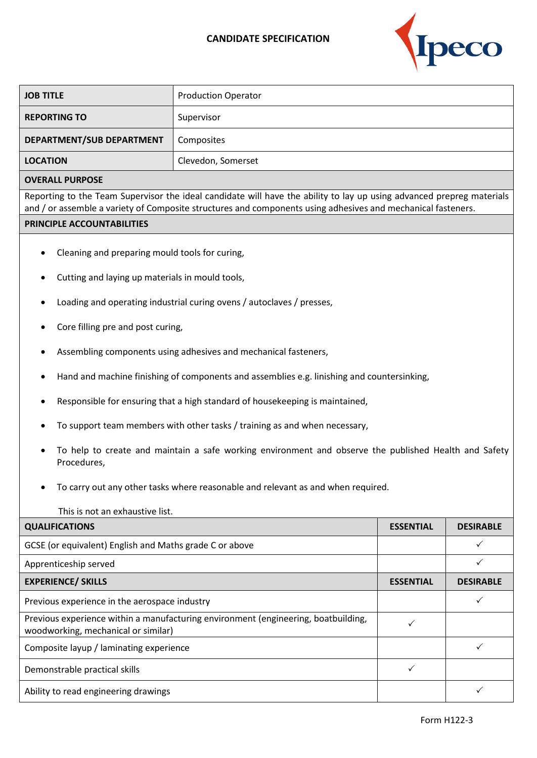## **CANDIDATE SPECIFICATION**



| <b>JOB TITLE</b>                                                                                                                                                                                                                      | <b>Production Operator</b> |  |  |
|---------------------------------------------------------------------------------------------------------------------------------------------------------------------------------------------------------------------------------------|----------------------------|--|--|
| <b>REPORTING TO</b>                                                                                                                                                                                                                   | Supervisor                 |  |  |
| DEPARTMENT/SUB DEPARTMENT                                                                                                                                                                                                             | Composites                 |  |  |
| <b>LOCATION</b>                                                                                                                                                                                                                       | Clevedon, Somerset         |  |  |
| <b>OVERALL PURPOSE</b>                                                                                                                                                                                                                |                            |  |  |
| Reporting to the Team Supervisor the ideal candidate will have the ability to lay up using advanced prepreg materials<br>and / or assemble a variety of Composite structures and components using adhesives and mechanical fasteners. |                            |  |  |
| PRINCIPLE ACCOUNTABILITIES                                                                                                                                                                                                            |                            |  |  |
| Cleaning and preparing mould tools for curing,<br>Cutting and laying up materials in mould tools,<br>Loading and operating industrial curing ovens / autoclaves / presses,<br>٠                                                       |                            |  |  |
| Core filling pre and post curing,                                                                                                                                                                                                     |                            |  |  |
| Assembling components using adhesives and mechanical fasteners,                                                                                                                                                                       |                            |  |  |
| Hand and machine finishing of components and assemblies e.g. linishing and countersinking,<br>٠                                                                                                                                       |                            |  |  |
| Responsible for ensuring that a high standard of housekeeping is maintained,<br>٠                                                                                                                                                     |                            |  |  |
| To support team members with other tasks / training as and when necessary,                                                                                                                                                            |                            |  |  |
| To help to create and maintain a safe working environment and observe the published Health and Safety<br>$\bullet$<br>Procedures,                                                                                                     |                            |  |  |

• To carry out any other tasks where reasonable and relevant as and when required.

| This is not an exhaustive list.                                                                                           |                  |                  |  |
|---------------------------------------------------------------------------------------------------------------------------|------------------|------------------|--|
| <b>QUALIFICATIONS</b>                                                                                                     | <b>ESSENTIAL</b> | <b>DESIRABLE</b> |  |
| GCSE (or equivalent) English and Maths grade C or above                                                                   |                  |                  |  |
| Apprenticeship served                                                                                                     |                  |                  |  |
| <b>EXPERIENCE/ SKILLS</b>                                                                                                 | <b>ESSENTIAL</b> | <b>DESIRABLE</b> |  |
| Previous experience in the aerospace industry                                                                             |                  |                  |  |
| Previous experience within a manufacturing environment (engineering, boatbuilding,<br>woodworking, mechanical or similar) |                  |                  |  |
| Composite layup / laminating experience                                                                                   |                  |                  |  |
| Demonstrable practical skills                                                                                             |                  |                  |  |
| Ability to read engineering drawings                                                                                      |                  |                  |  |